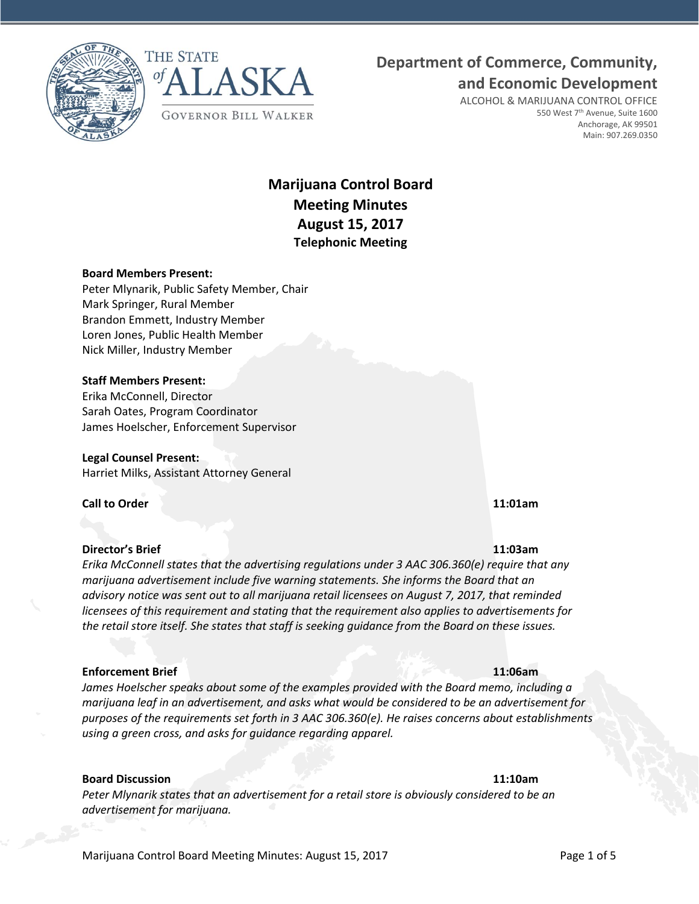



# **Department of Commerce, Community,**

**and Economic Development**

ALCOHOL & MARIJUANA CONTROL OFFICE 550 West 7<sup>th</sup> Avenue, Suite 1600 Anchorage, AK 99501 Main: 907.269.0350

## **Marijuana Control Board Meeting Minutes August 15, 2017 Telephonic Meeting**

### **Board Members Present:**

Peter Mlynarik, Public Safety Member, Chair Mark Springer, Rural Member Brandon Emmett, Industry Member Loren Jones, Public Health Member Nick Miller, Industry Member

#### **Staff Members Present:**

Erika McConnell, Director Sarah Oates, Program Coordinator James Hoelscher, Enforcement Supervisor

**Legal Counsel Present:** Harriet Milks, Assistant Attorney General

**Call to Order 11:01am**

#### **Director's Brief 11:03am**

*Erika McConnell states that the advertising regulations under 3 AAC 306.360(e) require that any marijuana advertisement include five warning statements. She informs the Board that an advisory notice was sent out to all marijuana retail licensees on August 7, 2017, that reminded licensees of this requirement and stating that the requirement also applies to advertisements for the retail store itself. She states that staff is seeking guidance from the Board on these issues.*

#### **Enforcement Brief 11:06am**

*James Hoelscher speaks about some of the examples provided with the Board memo, including a marijuana leaf in an advertisement, and asks what would be considered to be an advertisement for purposes of the requirements set forth in 3 AAC 306.360(e). He raises concerns about establishments using a green cross, and asks for guidance regarding apparel.*

#### **Board Discussion 11:10am**

*Peter Mlynarik states that an advertisement for a retail store is obviously considered to be an advertisement for marijuana.*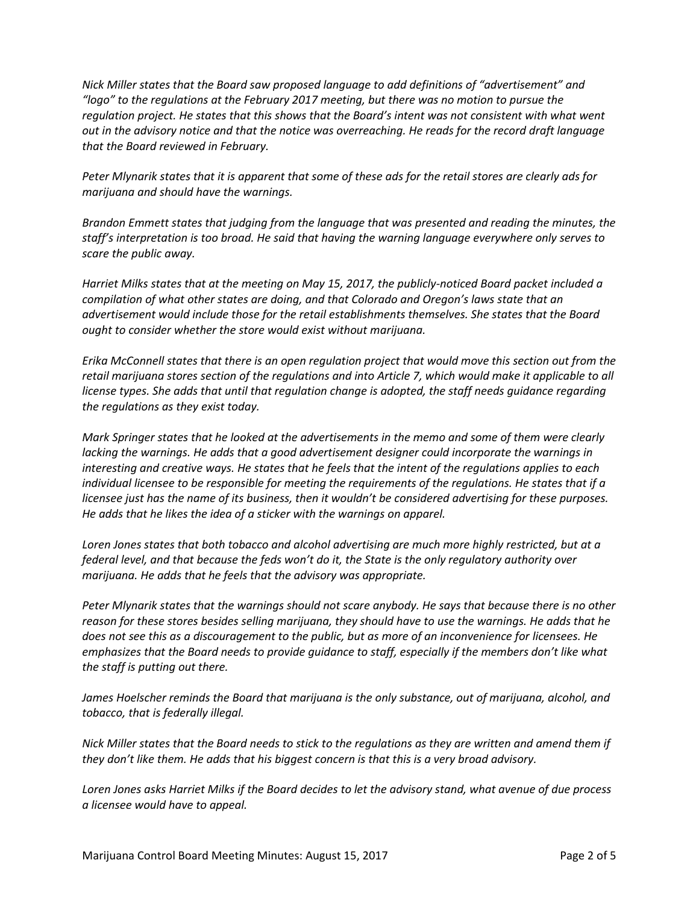*Nick Miller states that the Board saw proposed language to add definitions of "advertisement" and "logo" to the regulations at the February 2017 meeting, but there was no motion to pursue the regulation project. He states that this shows that the Board's intent was not consistent with what went out in the advisory notice and that the notice was overreaching. He reads for the record draft language that the Board reviewed in February.*

*Peter Mlynarik states that it is apparent that some of these ads for the retail stores are clearly ads for marijuana and should have the warnings.*

*Brandon Emmett states that judging from the language that was presented and reading the minutes, the staff's interpretation is too broad. He said that having the warning language everywhere only serves to scare the public away.*

*Harriet Milks states that at the meeting on May 15, 2017, the publicly-noticed Board packet included a compilation of what other states are doing, and that Colorado and Oregon's laws state that an advertisement would include those for the retail establishments themselves. She states that the Board ought to consider whether the store would exist without marijuana.*

*Erika McConnell states that there is an open regulation project that would move this section out from the retail marijuana stores section of the regulations and into Article 7, which would make it applicable to all license types. She adds that until that regulation change is adopted, the staff needs guidance regarding the regulations as they exist today.*

*Mark Springer states that he looked at the advertisements in the memo and some of them were clearly lacking the warnings. He adds that a good advertisement designer could incorporate the warnings in interesting and creative ways. He states that he feels that the intent of the regulations applies to each individual licensee to be responsible for meeting the requirements of the regulations. He states that if a licensee just has the name of its business, then it wouldn't be considered advertising for these purposes. He adds that he likes the idea of a sticker with the warnings on apparel.*

*Loren Jones states that both tobacco and alcohol advertising are much more highly restricted, but at a federal level, and that because the feds won't do it, the State is the only regulatory authority over marijuana. He adds that he feels that the advisory was appropriate.*

*Peter Mlynarik states that the warnings should not scare anybody. He says that because there is no other reason for these stores besides selling marijuana, they should have to use the warnings. He adds that he does not see this as a discouragement to the public, but as more of an inconvenience for licensees. He emphasizes that the Board needs to provide guidance to staff, especially if the members don't like what the staff is putting out there.*

*James Hoelscher reminds the Board that marijuana is the only substance, out of marijuana, alcohol, and tobacco, that is federally illegal.*

*Nick Miller states that the Board needs to stick to the regulations as they are written and amend them if they don't like them. He adds that his biggest concern is that this is a very broad advisory.*

*Loren Jones asks Harriet Milks if the Board decides to let the advisory stand, what avenue of due process a licensee would have to appeal.*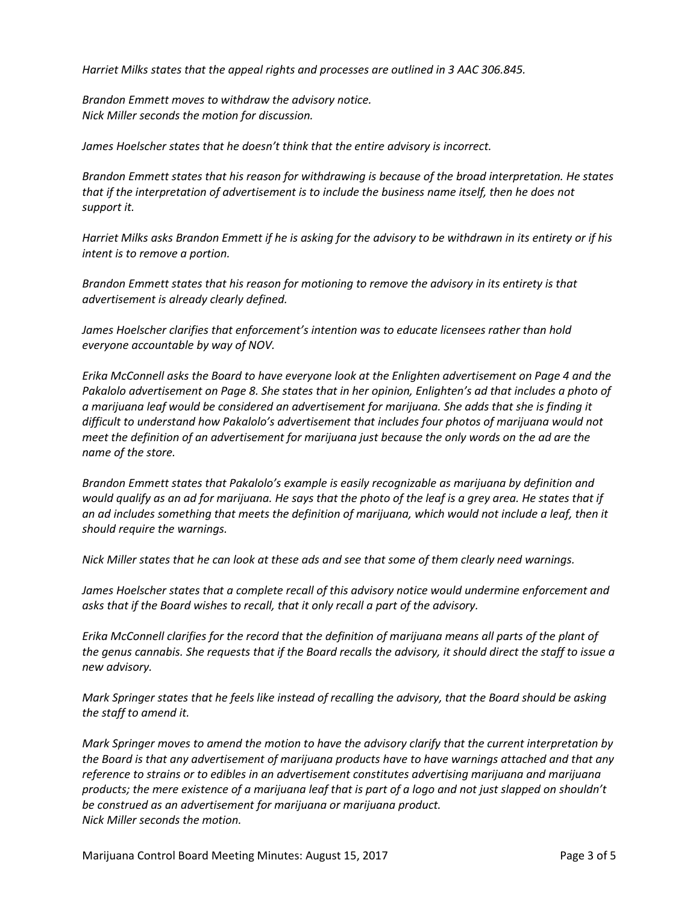*Harriet Milks states that the appeal rights and processes are outlined in 3 AAC 306.845.*

*Brandon Emmett moves to withdraw the advisory notice. Nick Miller seconds the motion for discussion.*

*James Hoelscher states that he doesn't think that the entire advisory is incorrect.*

*Brandon Emmett states that his reason for withdrawing is because of the broad interpretation. He states that if the interpretation of advertisement is to include the business name itself, then he does not support it.* 

*Harriet Milks asks Brandon Emmett if he is asking for the advisory to be withdrawn in its entirety or if his intent is to remove a portion.*

*Brandon Emmett states that his reason for motioning to remove the advisory in its entirety is that advertisement is already clearly defined.*

*James Hoelscher clarifies that enforcement's intention was to educate licensees rather than hold everyone accountable by way of NOV.*

*Erika McConnell asks the Board to have everyone look at the Enlighten advertisement on Page 4 and the Pakalolo advertisement on Page 8. She states that in her opinion, Enlighten's ad that includes a photo of a marijuana leaf would be considered an advertisement for marijuana. She adds that she is finding it difficult to understand how Pakalolo's advertisement that includes four photos of marijuana would not meet the definition of an advertisement for marijuana just because the only words on the ad are the name of the store.*

*Brandon Emmett states that Pakalolo's example is easily recognizable as marijuana by definition and would qualify as an ad for marijuana. He says that the photo of the leaf is a grey area. He states that if an ad includes something that meets the definition of marijuana, which would not include a leaf, then it should require the warnings.*

*Nick Miller states that he can look at these ads and see that some of them clearly need warnings.*

*James Hoelscher states that a complete recall of this advisory notice would undermine enforcement and asks that if the Board wishes to recall, that it only recall a part of the advisory.*

*Erika McConnell clarifies for the record that the definition of marijuana means all parts of the plant of the genus cannabis. She requests that if the Board recalls the advisory, it should direct the staff to issue a new advisory.*

*Mark Springer states that he feels like instead of recalling the advisory, that the Board should be asking the staff to amend it.* 

*Mark Springer moves to amend the motion to have the advisory clarify that the current interpretation by the Board is that any advertisement of marijuana products have to have warnings attached and that any reference to strains or to edibles in an advertisement constitutes advertising marijuana and marijuana products; the mere existence of a marijuana leaf that is part of a logo and not just slapped on shouldn't be construed as an advertisement for marijuana or marijuana product. Nick Miller seconds the motion.*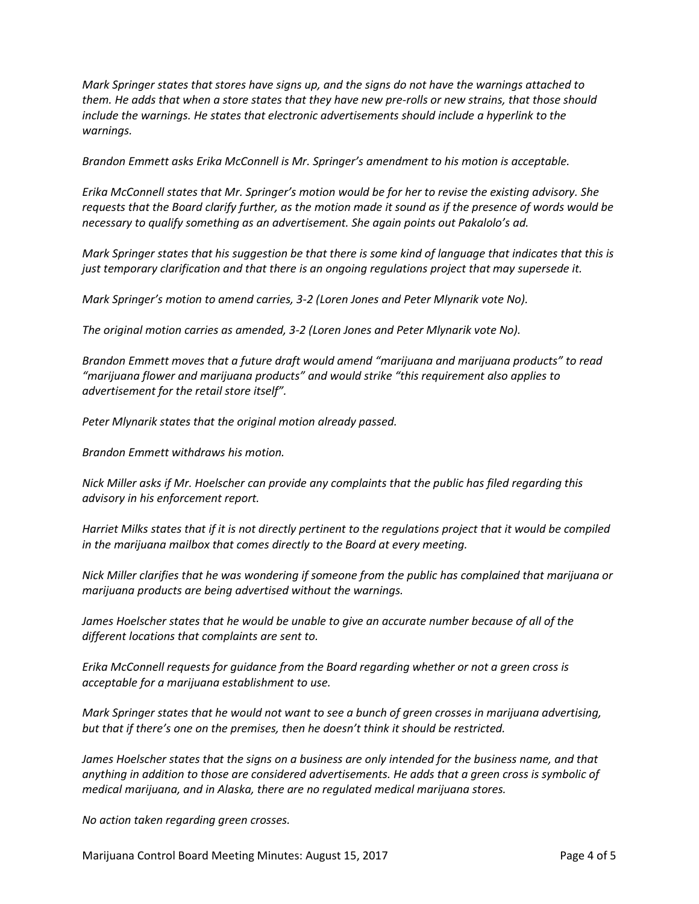*Mark Springer states that stores have signs up, and the signs do not have the warnings attached to them. He adds that when a store states that they have new pre-rolls or new strains, that those should include the warnings. He states that electronic advertisements should include a hyperlink to the warnings.* 

*Brandon Emmett asks Erika McConnell is Mr. Springer's amendment to his motion is acceptable.*

*Erika McConnell states that Mr. Springer's motion would be for her to revise the existing advisory. She requests that the Board clarify further, as the motion made it sound as if the presence of words would be necessary to qualify something as an advertisement. She again points out Pakalolo's ad.*

*Mark Springer states that his suggestion be that there is some kind of language that indicates that this is just temporary clarification and that there is an ongoing regulations project that may supersede it.*

*Mark Springer's motion to amend carries, 3-2 (Loren Jones and Peter Mlynarik vote No).*

*The original motion carries as amended, 3-2 (Loren Jones and Peter Mlynarik vote No).*

*Brandon Emmett moves that a future draft would amend "marijuana and marijuana products" to read "marijuana flower and marijuana products" and would strike "this requirement also applies to advertisement for the retail store itself".*

*Peter Mlynarik states that the original motion already passed.*

*Brandon Emmett withdraws his motion.*

*Nick Miller asks if Mr. Hoelscher can provide any complaints that the public has filed regarding this advisory in his enforcement report.*

*Harriet Milks states that if it is not directly pertinent to the regulations project that it would be compiled in the marijuana mailbox that comes directly to the Board at every meeting.*

*Nick Miller clarifies that he was wondering if someone from the public has complained that marijuana or marijuana products are being advertised without the warnings.*

*James Hoelscher states that he would be unable to give an accurate number because of all of the different locations that complaints are sent to.*

*Erika McConnell requests for guidance from the Board regarding whether or not a green cross is acceptable for a marijuana establishment to use.*

*Mark Springer states that he would not want to see a bunch of green crosses in marijuana advertising, but that if there's one on the premises, then he doesn't think it should be restricted.*

James Hoelscher states that the signs on a business are only intended for the business name, and that *anything in addition to those are considered advertisements. He adds that a green cross is symbolic of medical marijuana, and in Alaska, there are no regulated medical marijuana stores.*

*No action taken regarding green crosses.*

Marijuana Control Board Meeting Minutes: August 15, 2017 **Page 4 of 5**